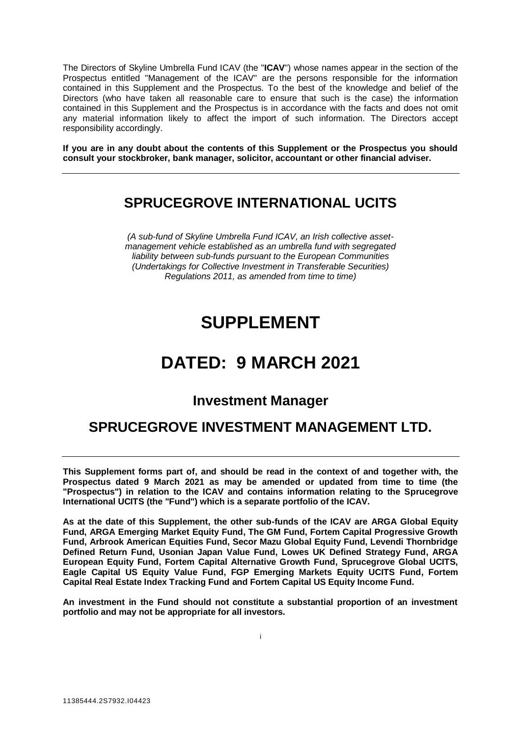The Directors of Skyline Umbrella Fund ICAV (the "**ICAV**") whose names appear in the section of the Prospectus entitled "Management of the ICAV" are the persons responsible for the information contained in this Supplement and the Prospectus. To the best of the knowledge and belief of the Directors (who have taken all reasonable care to ensure that such is the case) the information contained in this Supplement and the Prospectus is in accordance with the facts and does not omit any material information likely to affect the import of such information. The Directors accept responsibility accordingly.

**If you are in any doubt about the contents of this Supplement or the Prospectus you should consult your stockbroker, bank manager, solicitor, accountant or other financial adviser.**

# **SPRUCEGROVE INTERNATIONAL UCITS**

*(A sub-fund of Skyline Umbrella Fund ICAV, an Irish collective assetmanagement vehicle established as an umbrella fund with segregated liability between sub-funds pursuant to the European Communities (Undertakings for Collective Investment in Transferable Securities) Regulations 2011, as amended from time to time)*

# **SUPPLEMENT**

# **DATED: 9 MARCH 2021**

# **Investment Manager**

# **SPRUCEGROVE INVESTMENT MANAGEMENT LTD.**

**This Supplement forms part of, and should be read in the context of and together with, the Prospectus dated 9 March 2021 as may be amended or updated from time to time (the "Prospectus") in relation to the ICAV and contains information relating to the Sprucegrove International UCITS (the "Fund") which is a separate portfolio of the ICAV.** 

**As at the date of this Supplement, the other sub-funds of the ICAV are ARGA Global Equity Fund, ARGA Emerging Market Equity Fund, The GM Fund, Fortem Capital Progressive Growth Fund, Arbrook American Equities Fund, Secor Mazu Global Equity Fund, Levendi Thornbridge Defined Return Fund, Usonian Japan Value Fund, Lowes UK Defined Strategy Fund, ARGA European Equity Fund, Fortem Capital Alternative Growth Fund, Sprucegrove Global UCITS, Eagle Capital US Equity Value Fund, FGP Emerging Markets Equity UCITS Fund, Fortem Capital Real Estate Index Tracking Fund and Fortem Capital US Equity Income Fund.** 

**An investment in the Fund should not constitute a substantial proportion of an investment portfolio and may not be appropriate for all investors.**

i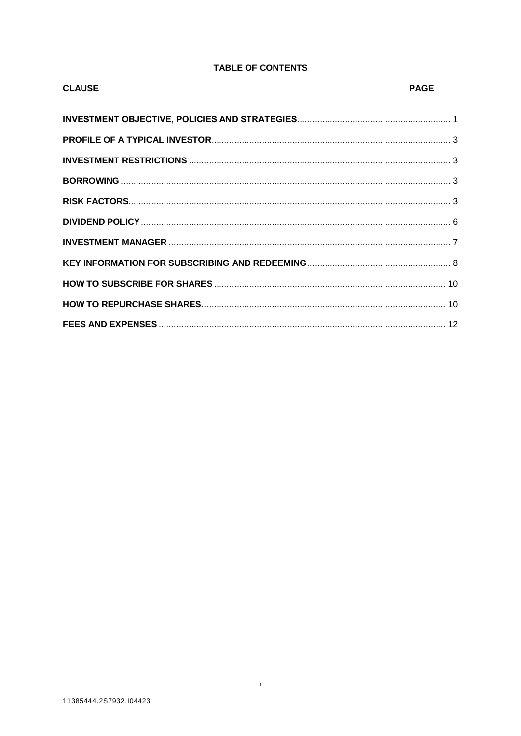# **TABLE OF CONTENTS**

| <b>CLAUSE</b> | <b>PAGE</b> |
|---------------|-------------|
|               |             |
|               |             |
|               |             |
|               |             |
|               |             |
|               |             |
|               |             |
|               |             |
|               |             |
|               |             |
|               |             |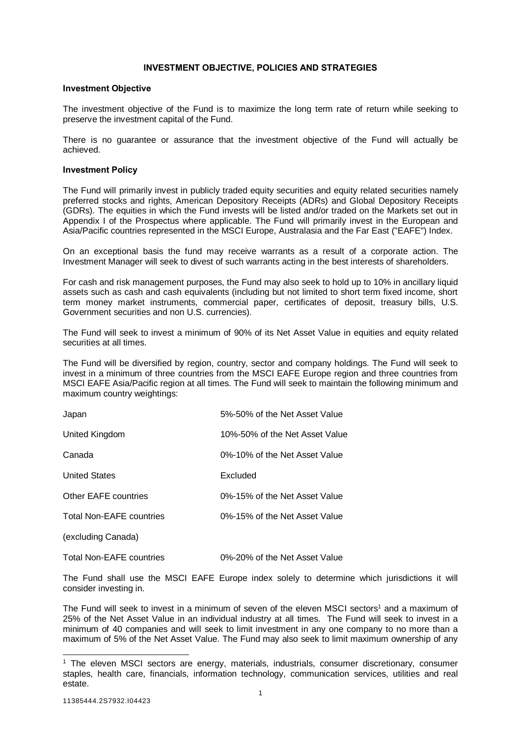# **INVESTMENT OBJECTIVE, POLICIES AND STRATEGIES**

#### <span id="page-2-0"></span>**Investment Objective**

The investment objective of the Fund is to maximize the long term rate of return while seeking to preserve the investment capital of the Fund.

There is no guarantee or assurance that the investment objective of the Fund will actually be achieved.

#### **Investment Policy**

The Fund will primarily invest in publicly traded equity securities and equity related securities namely preferred stocks and rights, American Depository Receipts (ADRs) and Global Depository Receipts (GDRs). The equities in which the Fund invests will be listed and/or traded on the Markets set out in Appendix I of the Prospectus where applicable. The Fund will primarily invest in the European and Asia/Pacific countries represented in the MSCI Europe, Australasia and the Far East ("EAFE") Index.

On an exceptional basis the fund may receive warrants as a result of a corporate action. The Investment Manager will seek to divest of such warrants acting in the best interests of shareholders.

For cash and risk management purposes, the Fund may also seek to hold up to 10% in ancillary liquid assets such as cash and cash equivalents (including but not limited to short term fixed income, short term money market instruments, commercial paper, certificates of deposit, treasury bills, U.S. Government securities and non U.S. currencies).

The Fund will seek to invest a minimum of 90% of its Net Asset Value in equities and equity related securities at all times.

The Fund will be diversified by region, country, sector and company holdings. The Fund will seek to invest in a minimum of three countries from the MSCI EAFE Europe region and three countries from MSCI EAFE Asia/Pacific region at all times. The Fund will seek to maintain the following minimum and maximum country weightings:

| Japan                           | 5%-50% of the Net Asset Value  |
|---------------------------------|--------------------------------|
| United Kingdom                  | 10%-50% of the Net Asset Value |
| Canada                          | 0%-10% of the Net Asset Value  |
| <b>United States</b>            | Excluded                       |
| Other EAFE countries            | 0%-15% of the Net Asset Value  |
| <b>Total Non-EAFE countries</b> | 0%-15% of the Net Asset Value  |
| (excluding Canada)              |                                |
| <b>Total Non-EAFE countries</b> | 0%-20% of the Net Asset Value  |

The Fund shall use the MSCI EAFE Europe index solely to determine which jurisdictions it will consider investing in.

The Fund will seek to invest in a minimum of seven of the eleven MSCI sectors<sup>1</sup> and a maximum of 25% of the Net Asset Value in an individual industry at all times. The Fund will seek to invest in a minimum of 40 companies and will seek to limit investment in any one company to no more than a maximum of 5% of the Net Asset Value. The Fund may also seek to limit maximum ownership of any

l <sup>1</sup> The eleven MSCI sectors are energy, materials, industrials, consumer discretionary, consumer staples, health care, financials, information technology, communication services, utilities and real estate.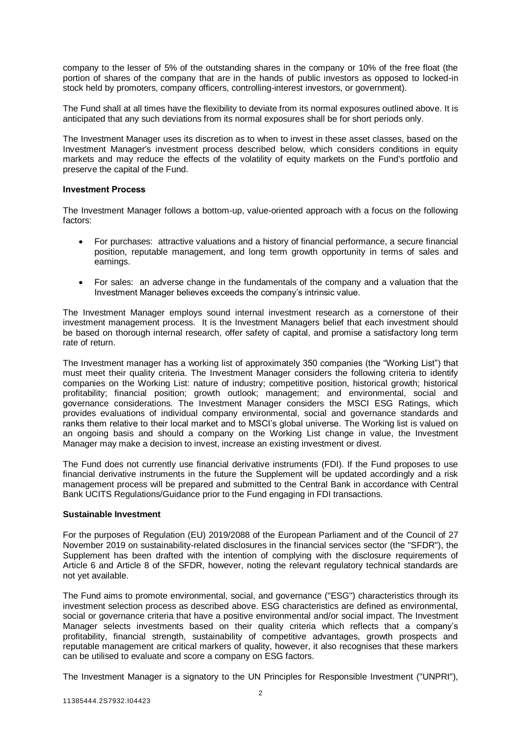company to the lesser of 5% of the outstanding shares in the company or 10% of the free float (the portion of shares of the company that are in the hands of public investors as opposed to locked-in stock held by promoters, company officers, controlling-interest investors, or government).

The Fund shall at all times have the flexibility to deviate from its normal exposures outlined above. It is anticipated that any such deviations from its normal exposures shall be for short periods only.

The Investment Manager uses its discretion as to when to invest in these asset classes, based on the Investment Manager's investment process described below, which considers conditions in equity markets and may reduce the effects of the volatility of equity markets on the Fund's portfolio and preserve the capital of the Fund.

# **Investment Process**

The Investment Manager follows a bottom-up, value-oriented approach with a focus on the following factors:

- For purchases: attractive valuations and a history of financial performance, a secure financial position, reputable management, and long term growth opportunity in terms of sales and earnings.
- For sales: an adverse change in the fundamentals of the company and a valuation that the Investment Manager believes exceeds the company's intrinsic value.

The Investment Manager employs sound internal investment research as a cornerstone of their investment management process. It is the Investment Managers belief that each investment should be based on thorough internal research, offer safety of capital, and promise a satisfactory long term rate of return.

The Investment manager has a working list of approximately 350 companies (the "Working List") that must meet their quality criteria. The Investment Manager considers the following criteria to identify companies on the Working List: nature of industry; competitive position, historical growth; historical profitability; financial position; growth outlook; management; and environmental, social and governance considerations. The Investment Manager considers the MSCI ESG Ratings, which provides evaluations of individual company environmental, social and governance standards and ranks them relative to their local market and to MSCI's global universe. The Working list is valued on an ongoing basis and should a company on the Working List change in value, the Investment Manager may make a decision to invest, increase an existing investment or divest.

The Fund does not currently use financial derivative instruments (FDI). If the Fund proposes to use financial derivative instruments in the future the Supplement will be updated accordingly and a risk management process will be prepared and submitted to the Central Bank in accordance with Central Bank UCITS Regulations/Guidance prior to the Fund engaging in FDI transactions.

# **Sustainable Investment**

For the purposes of Regulation (EU) 2019/2088 of the European Parliament and of the Council of 27 November 2019 on sustainability-related disclosures in the financial services sector (the "SFDR"), the Supplement has been drafted with the intention of complying with the disclosure requirements of Article 6 and Article 8 of the SFDR, however, noting the relevant regulatory technical standards are not yet available.

The Fund aims to promote environmental, social, and governance ("ESG") characteristics through its investment selection process as described above. ESG characteristics are defined as environmental, social or governance criteria that have a positive environmental and/or social impact. The Investment Manager selects investments based on their quality criteria which reflects that a company's profitability, financial strength, sustainability of competitive advantages, growth prospects and reputable management are critical markers of quality, however, it also recognises that these markers can be utilised to evaluate and score a company on ESG factors.

The Investment Manager is a signatory to the UN Principles for Responsible Investment ("UNPRI"),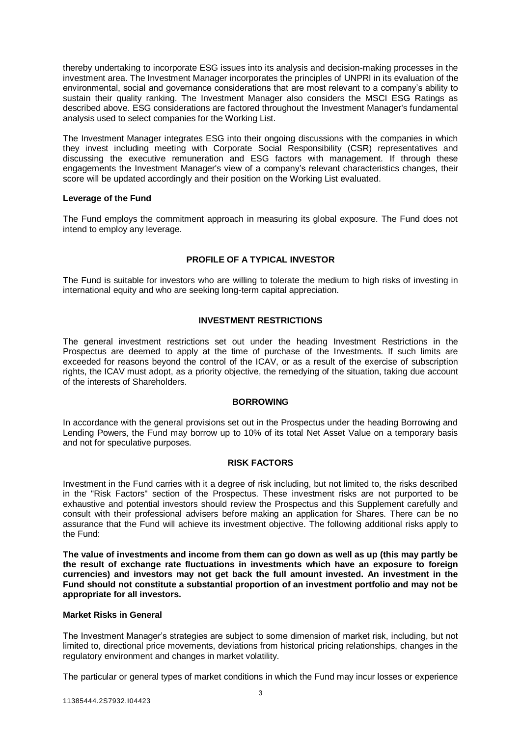thereby undertaking to incorporate ESG issues into its analysis and decision-making processes in the investment area. The Investment Manager incorporates the principles of UNPRI in its evaluation of the environmental, social and governance considerations that are most relevant to a company's ability to sustain their quality ranking. The Investment Manager also considers the MSCI ESG Ratings as described above. ESG considerations are factored throughout the Investment Manager's fundamental analysis used to select companies for the Working List.

The Investment Manager integrates ESG into their ongoing discussions with the companies in which they invest including meeting with Corporate Social Responsibility (CSR) representatives and discussing the executive remuneration and ESG factors with management. If through these engagements the Investment Manager's view of a company's relevant characteristics changes, their score will be updated accordingly and their position on the Working List evaluated.

# **Leverage of the Fund**

The Fund employs the commitment approach in measuring its global exposure. The Fund does not intend to employ any leverage.

# **PROFILE OF A TYPICAL INVESTOR**

<span id="page-4-0"></span>The Fund is suitable for investors who are willing to tolerate the medium to high risks of investing in international equity and who are seeking long-term capital appreciation.

# **INVESTMENT RESTRICTIONS**

<span id="page-4-1"></span>The general investment restrictions set out under the heading Investment Restrictions in the Prospectus are deemed to apply at the time of purchase of the Investments. If such limits are exceeded for reasons beyond the control of the ICAV, or as a result of the exercise of subscription rights, the ICAV must adopt, as a priority objective, the remedying of the situation, taking due account of the interests of Shareholders.

#### **BORROWING**

<span id="page-4-2"></span>In accordance with the general provisions set out in the Prospectus under the heading Borrowing and Lending Powers, the Fund may borrow up to 10% of its total Net Asset Value on a temporary basis and not for speculative purposes.

#### **RISK FACTORS**

<span id="page-4-3"></span>Investment in the Fund carries with it a degree of risk including, but not limited to, the risks described in the "Risk Factors" section of the Prospectus. These investment risks are not purported to be exhaustive and potential investors should review the Prospectus and this Supplement carefully and consult with their professional advisers before making an application for Shares. There can be no assurance that the Fund will achieve its investment objective. The following additional risks apply to the Fund:

**The value of investments and income from them can go down as well as up (this may partly be the result of exchange rate fluctuations in investments which have an exposure to foreign currencies) and investors may not get back the full amount invested. An investment in the Fund should not constitute a substantial proportion of an investment portfolio and may not be appropriate for all investors.** 

# **Market Risks in General**

The Investment Manager's strategies are subject to some dimension of market risk, including, but not limited to, directional price movements, deviations from historical pricing relationships, changes in the regulatory environment and changes in market volatility.

The particular or general types of market conditions in which the Fund may incur losses or experience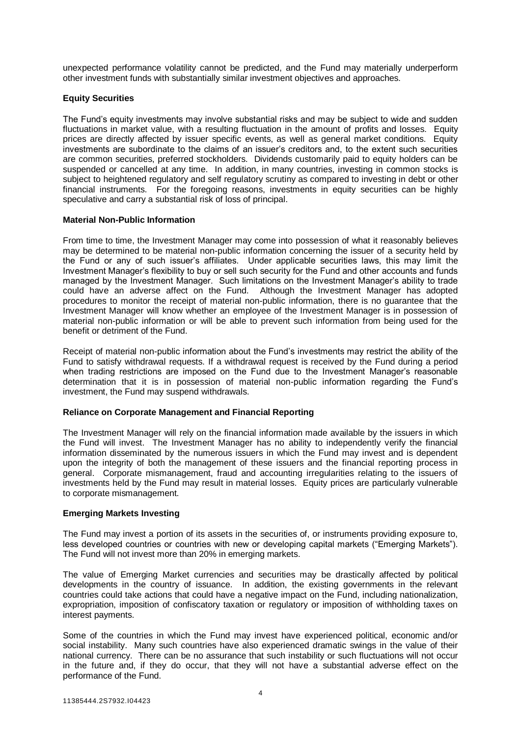unexpected performance volatility cannot be predicted, and the Fund may materially underperform other investment funds with substantially similar investment objectives and approaches.

# **Equity Securities**

The Fund's equity investments may involve substantial risks and may be subject to wide and sudden fluctuations in market value, with a resulting fluctuation in the amount of profits and losses. Equity prices are directly affected by issuer specific events, as well as general market conditions. Equity investments are subordinate to the claims of an issuer's creditors and, to the extent such securities are common securities, preferred stockholders. Dividends customarily paid to equity holders can be suspended or cancelled at any time. In addition, in many countries, investing in common stocks is subject to heightened regulatory and self regulatory scrutiny as compared to investing in debt or other financial instruments. For the foregoing reasons, investments in equity securities can be highly speculative and carry a substantial risk of loss of principal.

#### **Material Non-Public Information**

From time to time, the Investment Manager may come into possession of what it reasonably believes may be determined to be material non-public information concerning the issuer of a security held by the Fund or any of such issuer's affiliates. Under applicable securities laws, this may limit the Investment Manager's flexibility to buy or sell such security for the Fund and other accounts and funds managed by the Investment Manager. Such limitations on the Investment Manager's ability to trade could have an adverse affect on the Fund. Although the Investment Manager has adopted procedures to monitor the receipt of material non-public information, there is no guarantee that the Investment Manager will know whether an employee of the Investment Manager is in possession of material non-public information or will be able to prevent such information from being used for the benefit or detriment of the Fund.

Receipt of material non-public information about the Fund's investments may restrict the ability of the Fund to satisfy withdrawal requests. If a withdrawal request is received by the Fund during a period when trading restrictions are imposed on the Fund due to the Investment Manager's reasonable determination that it is in possession of material non-public information regarding the Fund's investment, the Fund may suspend withdrawals.

#### **Reliance on Corporate Management and Financial Reporting**

The Investment Manager will rely on the financial information made available by the issuers in which the Fund will invest. The Investment Manager has no ability to independently verify the financial information disseminated by the numerous issuers in which the Fund may invest and is dependent upon the integrity of both the management of these issuers and the financial reporting process in general. Corporate mismanagement, fraud and accounting irregularities relating to the issuers of investments held by the Fund may result in material losses. Equity prices are particularly vulnerable to corporate mismanagement.

#### **Emerging Markets Investing**

The Fund may invest a portion of its assets in the securities of, or instruments providing exposure to, less developed countries or countries with new or developing capital markets ("Emerging Markets"). The Fund will not invest more than 20% in emerging markets.

The value of Emerging Market currencies and securities may be drastically affected by political developments in the country of issuance. In addition, the existing governments in the relevant countries could take actions that could have a negative impact on the Fund, including nationalization, expropriation, imposition of confiscatory taxation or regulatory or imposition of withholding taxes on interest payments.

Some of the countries in which the Fund may invest have experienced political, economic and/or social instability. Many such countries have also experienced dramatic swings in the value of their national currency. There can be no assurance that such instability or such fluctuations will not occur in the future and, if they do occur, that they will not have a substantial adverse effect on the performance of the Fund.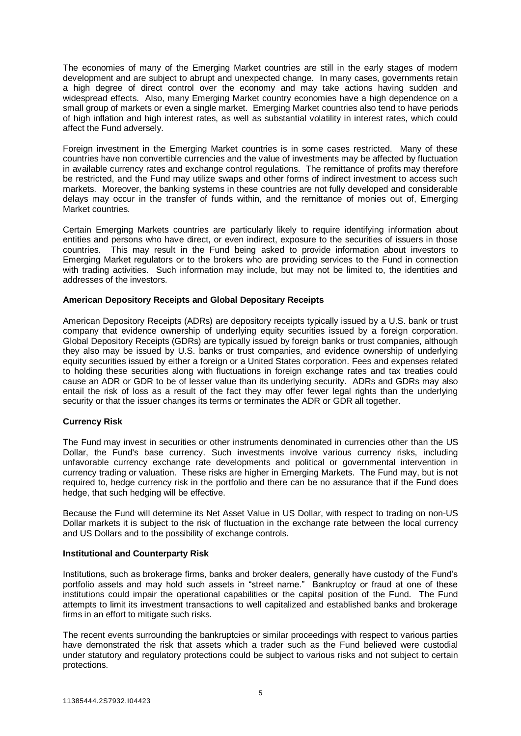The economies of many of the Emerging Market countries are still in the early stages of modern development and are subject to abrupt and unexpected change. In many cases, governments retain a high degree of direct control over the economy and may take actions having sudden and widespread effects. Also, many Emerging Market country economies have a high dependence on a small group of markets or even a single market. Emerging Market countries also tend to have periods of high inflation and high interest rates, as well as substantial volatility in interest rates, which could affect the Fund adversely.

Foreign investment in the Emerging Market countries is in some cases restricted. Many of these countries have non convertible currencies and the value of investments may be affected by fluctuation in available currency rates and exchange control regulations. The remittance of profits may therefore be restricted, and the Fund may utilize swaps and other forms of indirect investment to access such markets. Moreover, the banking systems in these countries are not fully developed and considerable delays may occur in the transfer of funds within, and the remittance of monies out of, Emerging Market countries.

Certain Emerging Markets countries are particularly likely to require identifying information about entities and persons who have direct, or even indirect, exposure to the securities of issuers in those countries. This may result in the Fund being asked to provide information about investors to Emerging Market regulators or to the brokers who are providing services to the Fund in connection with trading activities. Such information may include, but may not be limited to, the identities and addresses of the investors.

#### **American Depository Receipts and Global Depositary Receipts**

American Depository Receipts (ADRs) are depository receipts typically issued by a U.S. bank or trust company that evidence ownership of underlying equity securities issued by a foreign corporation. Global Depository Receipts (GDRs) are typically issued by foreign banks or trust companies, although they also may be issued by U.S. banks or trust companies, and evidence ownership of underlying equity securities issued by either a foreign or a United States corporation. Fees and expenses related to holding these securities along with fluctuations in foreign exchange rates and tax treaties could cause an ADR or GDR to be of lesser value than its underlying security. ADRs and GDRs may also entail the risk of loss as a result of the fact they may offer fewer legal rights than the underlying security or that the issuer changes its terms or terminates the ADR or GDR all together.

# **Currency Risk**

The Fund may invest in securities or other instruments denominated in currencies other than the US Dollar, the Fund's base currency. Such investments involve various currency risks, including unfavorable currency exchange rate developments and political or governmental intervention in currency trading or valuation. These risks are higher in Emerging Markets. The Fund may, but is not required to, hedge currency risk in the portfolio and there can be no assurance that if the Fund does hedge, that such hedging will be effective.

Because the Fund will determine its Net Asset Value in US Dollar, with respect to trading on non-US Dollar markets it is subject to the risk of fluctuation in the exchange rate between the local currency and US Dollars and to the possibility of exchange controls.

#### **Institutional and Counterparty Risk**

Institutions, such as brokerage firms, banks and broker dealers, generally have custody of the Fund's portfolio assets and may hold such assets in "street name." Bankruptcy or fraud at one of these institutions could impair the operational capabilities or the capital position of the Fund. The Fund attempts to limit its investment transactions to well capitalized and established banks and brokerage firms in an effort to mitigate such risks.

The recent events surrounding the bankruptcies or similar proceedings with respect to various parties have demonstrated the risk that assets which a trader such as the Fund believed were custodial under statutory and regulatory protections could be subject to various risks and not subject to certain protections.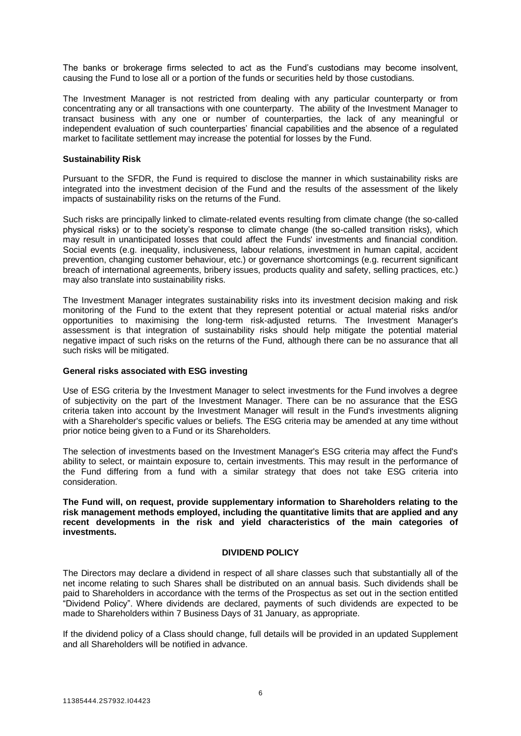The banks or brokerage firms selected to act as the Fund's custodians may become insolvent, causing the Fund to lose all or a portion of the funds or securities held by those custodians.

The Investment Manager is not restricted from dealing with any particular counterparty or from concentrating any or all transactions with one counterparty. The ability of the Investment Manager to transact business with any one or number of counterparties, the lack of any meaningful or independent evaluation of such counterparties' financial capabilities and the absence of a regulated market to facilitate settlement may increase the potential for losses by the Fund.

#### **Sustainability Risk**

Pursuant to the SFDR, the Fund is required to disclose the manner in which sustainability risks are integrated into the investment decision of the Fund and the results of the assessment of the likely impacts of sustainability risks on the returns of the Fund.

Such risks are principally linked to climate-related events resulting from climate change (the so-called physical risks) or to the society's response to climate change (the so-called transition risks), which may result in unanticipated losses that could affect the Funds' investments and financial condition. Social events (e.g. inequality, inclusiveness, labour relations, investment in human capital, accident prevention, changing customer behaviour, etc.) or governance shortcomings (e.g. recurrent significant breach of international agreements, bribery issues, products quality and safety, selling practices, etc.) may also translate into sustainability risks.

The Investment Manager integrates sustainability risks into its investment decision making and risk monitoring of the Fund to the extent that they represent potential or actual material risks and/or opportunities to maximising the long-term risk-adjusted returns. The Investment Manager's assessment is that integration of sustainability risks should help mitigate the potential material negative impact of such risks on the returns of the Fund, although there can be no assurance that all such risks will be mitigated.

#### **General risks associated with ESG investing**

Use of ESG criteria by the Investment Manager to select investments for the Fund involves a degree of subjectivity on the part of the Investment Manager. There can be no assurance that the ESG criteria taken into account by the Investment Manager will result in the Fund's investments aligning with a Shareholder's specific values or beliefs. The ESG criteria may be amended at any time without prior notice being given to a Fund or its Shareholders.

The selection of investments based on the Investment Manager's ESG criteria may affect the Fund's ability to select, or maintain exposure to, certain investments. This may result in the performance of the Fund differing from a fund with a similar strategy that does not take ESG criteria into consideration.

**The Fund will, on request, provide supplementary information to Shareholders relating to the risk management methods employed, including the quantitative limits that are applied and any recent developments in the risk and yield characteristics of the main categories of investments.**

## **DIVIDEND POLICY**

<span id="page-7-0"></span>The Directors may declare a dividend in respect of all share classes such that substantially all of the net income relating to such Shares shall be distributed on an annual basis. Such dividends shall be paid to Shareholders in accordance with the terms of the Prospectus as set out in the section entitled "Dividend Policy". Where dividends are declared, payments of such dividends are expected to be made to Shareholders within 7 Business Days of 31 January, as appropriate.

If the dividend policy of a Class should change, full details will be provided in an updated Supplement and all Shareholders will be notified in advance.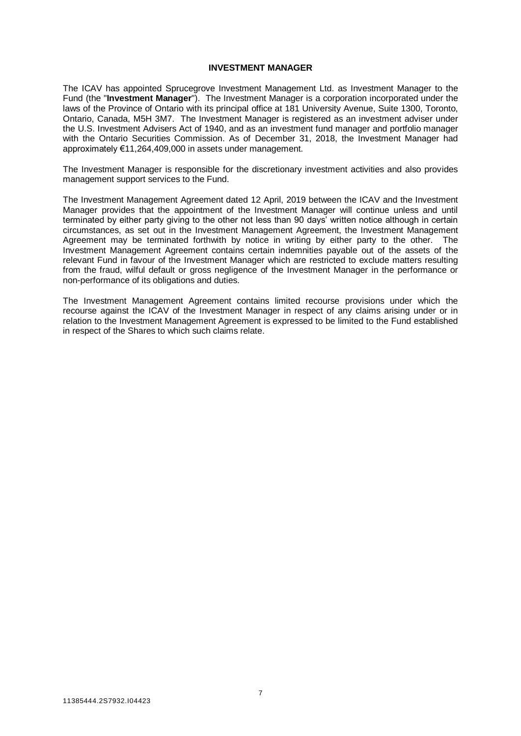## **INVESTMENT MANAGER**

<span id="page-8-0"></span>The ICAV has appointed Sprucegrove Investment Management Ltd. as Investment Manager to the Fund (the "**Investment Manager**"). The Investment Manager is a corporation incorporated under the laws of the Province of Ontario with its principal office at 181 University Avenue, Suite 1300, Toronto, Ontario, Canada, M5H 3M7. The Investment Manager is registered as an investment adviser under the U.S. Investment Advisers Act of 1940, and as an investment fund manager and portfolio manager with the Ontario Securities Commission. As of December 31, 2018, the Investment Manager had approximately €11,264,409,000 in assets under management.

The Investment Manager is responsible for the discretionary investment activities and also provides management support services to the Fund.

The Investment Management Agreement dated 12 April, 2019 between the ICAV and the Investment Manager provides that the appointment of the Investment Manager will continue unless and until terminated by either party giving to the other not less than 90 days' written notice although in certain circumstances, as set out in the Investment Management Agreement, the Investment Management Agreement may be terminated forthwith by notice in writing by either party to the other. The Investment Management Agreement contains certain indemnities payable out of the assets of the relevant Fund in favour of the Investment Manager which are restricted to exclude matters resulting from the fraud, wilful default or gross negligence of the Investment Manager in the performance or non-performance of its obligations and duties.

The Investment Management Agreement contains limited recourse provisions under which the recourse against the ICAV of the Investment Manager in respect of any claims arising under or in relation to the Investment Management Agreement is expressed to be limited to the Fund established in respect of the Shares to which such claims relate.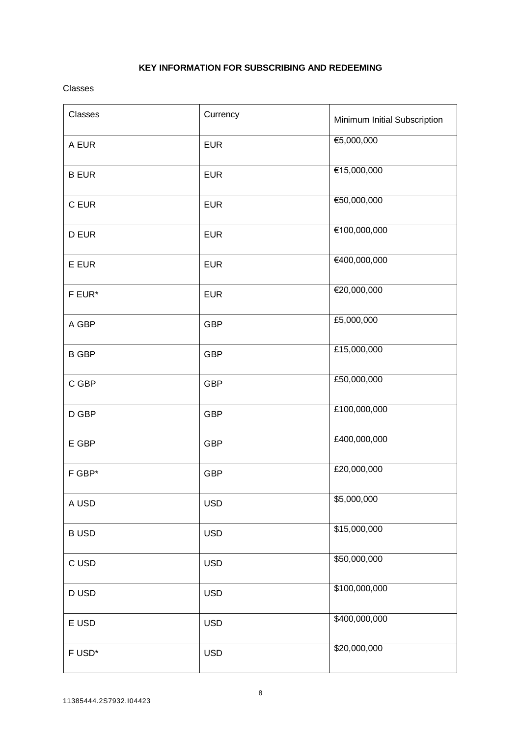# **KEY INFORMATION FOR SUBSCRIBING AND REDEEMING**

<span id="page-9-0"></span>Classes

| Classes      | Currency   | Minimum Initial Subscription |
|--------------|------------|------------------------------|
| A EUR        | <b>EUR</b> | €5,000,000                   |
| <b>B EUR</b> | <b>EUR</b> | €15,000,000                  |
| C EUR        | <b>EUR</b> | €50,000,000                  |
| D EUR        | <b>EUR</b> | €100,000,000                 |
| E EUR        | <b>EUR</b> | €400,000,000                 |
| F EUR*       | <b>EUR</b> | €20,000,000                  |
| A GBP        | <b>GBP</b> | £5,000,000                   |
| <b>B GBP</b> | <b>GBP</b> | £15,000,000                  |
| C GBP        | <b>GBP</b> | £50,000,000                  |
| D GBP        | <b>GBP</b> | £100,000,000                 |
| $E$ GBP      | <b>GBP</b> | £400,000,000                 |
| F GBP*       | <b>GBP</b> | £20,000,000                  |
| A USD        | <b>USD</b> | \$5,000,000                  |
| <b>BUSD</b>  | <b>USD</b> | \$15,000,000                 |
| C USD        | <b>USD</b> | \$50,000,000                 |
| D USD        | <b>USD</b> | \$100,000,000                |
| E USD        | <b>USD</b> | \$400,000,000                |
| F USD*       | <b>USD</b> | \$20,000,000                 |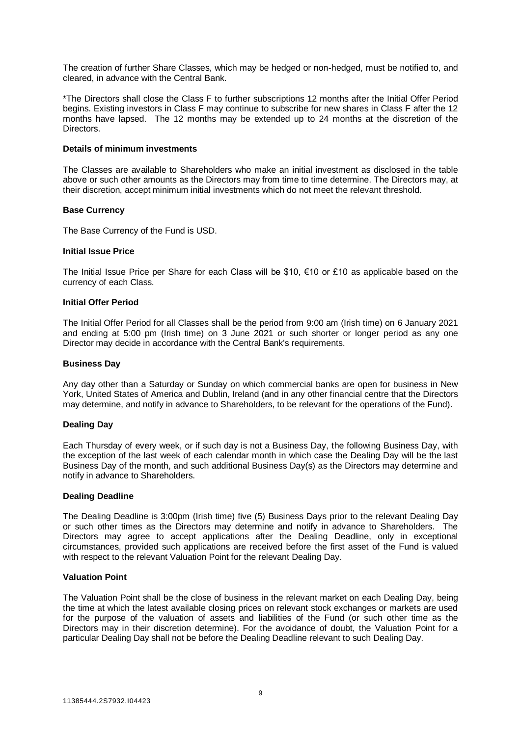The creation of further Share Classes, which may be hedged or non-hedged, must be notified to, and cleared, in advance with the Central Bank.

\*The Directors shall close the Class F to further subscriptions 12 months after the Initial Offer Period begins. Existing investors in Class F may continue to subscribe for new shares in Class F after the 12 months have lapsed. The 12 months may be extended up to 24 months at the discretion of the **Directors** 

#### **Details of minimum investments**

The Classes are available to Shareholders who make an initial investment as disclosed in the table above or such other amounts as the Directors may from time to time determine. The Directors may, at their discretion, accept minimum initial investments which do not meet the relevant threshold.

#### **Base Currency**

The Base Currency of the Fund is USD.

#### **Initial Issue Price**

The Initial Issue Price per Share for each Class will be \$10,  $\epsilon$ 10 or £10 as applicable based on the currency of each Class.

#### **Initial Offer Period**

The Initial Offer Period for all Classes shall be the period from 9:00 am (Irish time) on 6 January 2021 and ending at 5:00 pm (Irish time) on 3 June 2021 or such shorter or longer period as any one Director may decide in accordance with the Central Bank's requirements.

#### **Business Day**

Any day other than a Saturday or Sunday on which commercial banks are open for business in New York, United States of America and Dublin, Ireland (and in any other financial centre that the Directors may determine, and notify in advance to Shareholders, to be relevant for the operations of the Fund).

#### **Dealing Day**

Each Thursday of every week, or if such day is not a Business Day, the following Business Day, with the exception of the last week of each calendar month in which case the Dealing Day will be the last Business Day of the month, and such additional Business Day(s) as the Directors may determine and notify in advance to Shareholders.

#### **Dealing Deadline**

The Dealing Deadline is 3:00pm (Irish time) five (5) Business Days prior to the relevant Dealing Day or such other times as the Directors may determine and notify in advance to Shareholders. The Directors may agree to accept applications after the Dealing Deadline, only in exceptional circumstances, provided such applications are received before the first asset of the Fund is valued with respect to the relevant Valuation Point for the relevant Dealing Day.

#### **Valuation Point**

The Valuation Point shall be the close of business in the relevant market on each Dealing Day, being the time at which the latest available closing prices on relevant stock exchanges or markets are used for the purpose of the valuation of assets and liabilities of the Fund (or such other time as the Directors may in their discretion determine). For the avoidance of doubt, the Valuation Point for a particular Dealing Day shall not be before the Dealing Deadline relevant to such Dealing Day.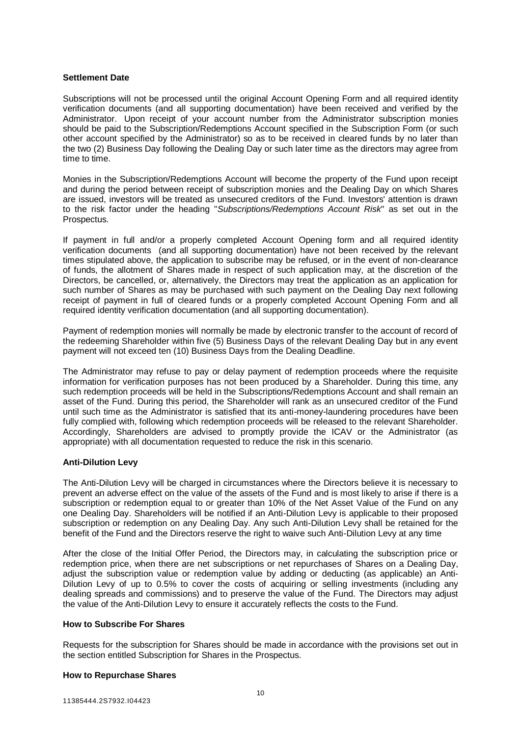#### **Settlement Date**

Subscriptions will not be processed until the original Account Opening Form and all required identity verification documents (and all supporting documentation) have been received and verified by the Administrator. Upon receipt of your account number from the Administrator subscription monies should be paid to the Subscription/Redemptions Account specified in the Subscription Form (or such other account specified by the Administrator) so as to be received in cleared funds by no later than the two (2) Business Day following the Dealing Day or such later time as the directors may agree from time to time.

Monies in the Subscription/Redemptions Account will become the property of the Fund upon receipt and during the period between receipt of subscription monies and the Dealing Day on which Shares are issued, investors will be treated as unsecured creditors of the Fund. Investors' attention is drawn to the risk factor under the heading "*Subscriptions/Redemptions Account Risk*" as set out in the Prospectus.

If payment in full and/or a properly completed Account Opening form and all required identity verification documents (and all supporting documentation) have not been received by the relevant times stipulated above, the application to subscribe may be refused, or in the event of non-clearance of funds, the allotment of Shares made in respect of such application may, at the discretion of the Directors, be cancelled, or, alternatively, the Directors may treat the application as an application for such number of Shares as may be purchased with such payment on the Dealing Day next following receipt of payment in full of cleared funds or a properly completed Account Opening Form and all required identity verification documentation (and all supporting documentation).

Payment of redemption monies will normally be made by electronic transfer to the account of record of the redeeming Shareholder within five (5) Business Days of the relevant Dealing Day but in any event payment will not exceed ten (10) Business Days from the Dealing Deadline.

The Administrator may refuse to pay or delay payment of redemption proceeds where the requisite information for verification purposes has not been produced by a Shareholder. During this time, any such redemption proceeds will be held in the Subscriptions/Redemptions Account and shall remain an asset of the Fund. During this period, the Shareholder will rank as an unsecured creditor of the Fund until such time as the Administrator is satisfied that its anti-money-laundering procedures have been fully complied with, following which redemption proceeds will be released to the relevant Shareholder. Accordingly, Shareholders are advised to promptly provide the ICAV or the Administrator (as appropriate) with all documentation requested to reduce the risk in this scenario.

# **Anti-Dilution Levy**

The Anti-Dilution Levy will be charged in circumstances where the Directors believe it is necessary to prevent an adverse effect on the value of the assets of the Fund and is most likely to arise if there is a subscription or redemption equal to or greater than 10% of the Net Asset Value of the Fund on any one Dealing Day. Shareholders will be notified if an Anti-Dilution Levy is applicable to their proposed subscription or redemption on any Dealing Day. Any such Anti-Dilution Levy shall be retained for the benefit of the Fund and the Directors reserve the right to waive such Anti-Dilution Levy at any time

After the close of the Initial Offer Period, the Directors may, in calculating the subscription price or redemption price, when there are net subscriptions or net repurchases of Shares on a Dealing Day, adjust the subscription value or redemption value by adding or deducting (as applicable) an Anti-Dilution Levy of up to 0.5% to cover the costs of acquiring or selling investments (including any dealing spreads and commissions) and to preserve the value of the Fund. The Directors may adjust the value of the Anti-Dilution Levy to ensure it accurately reflects the costs to the Fund.

# <span id="page-11-0"></span>**How to Subscribe For Shares**

Requests for the subscription for Shares should be made in accordance with the provisions set out in the section entitled Subscription for Shares in the Prospectus.

#### <span id="page-11-1"></span>**How to Repurchase Shares**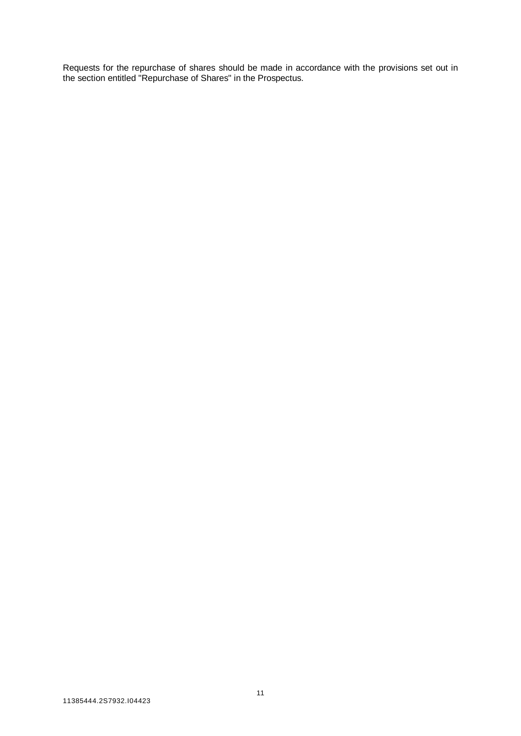Requests for the repurchase of shares should be made in accordance with the provisions set out in the section entitled "Repurchase of Shares" in the Prospectus.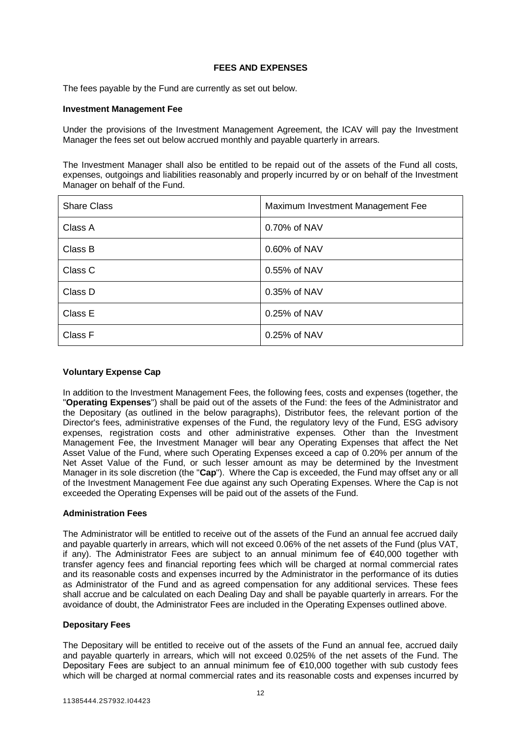# **FEES AND EXPENSES**

<span id="page-13-0"></span>The fees payable by the Fund are currently as set out below.

#### **Investment Management Fee**

Under the provisions of the Investment Management Agreement, the ICAV will pay the Investment Manager the fees set out below accrued monthly and payable quarterly in arrears.

The Investment Manager shall also be entitled to be repaid out of the assets of the Fund all costs, expenses, outgoings and liabilities reasonably and properly incurred by or on behalf of the Investment Manager on behalf of the Fund.

| <b>Share Class</b> | Maximum Investment Management Fee |
|--------------------|-----------------------------------|
| Class A            | 0.70% of NAV                      |
| Class B            | 0.60% of NAV                      |
| Class C            | 0.55% of NAV                      |
| Class D            | 0.35% of NAV                      |
| Class E            | 0.25% of NAV                      |
| Class F            | 0.25% of NAV                      |

# **Voluntary Expense Cap**

In addition to the Investment Management Fees, the following fees, costs and expenses (together, the "**Operating Expenses**") shall be paid out of the assets of the Fund: the fees of the Administrator and the Depositary (as outlined in the below paragraphs), Distributor fees, the relevant portion of the Director's fees, administrative expenses of the Fund, the regulatory levy of the Fund, ESG advisory expenses, registration costs and other administrative expenses. Other than the Investment Management Fee, the Investment Manager will bear any Operating Expenses that affect the Net Asset Value of the Fund, where such Operating Expenses exceed a cap of 0.20% per annum of the Net Asset Value of the Fund, or such lesser amount as may be determined by the Investment Manager in its sole discretion (the "**Cap**"). Where the Cap is exceeded, the Fund may offset any or all of the Investment Management Fee due against any such Operating Expenses. Where the Cap is not exceeded the Operating Expenses will be paid out of the assets of the Fund.

# **Administration Fees**

The Administrator will be entitled to receive out of the assets of the Fund an annual fee accrued daily and payable quarterly in arrears, which will not exceed 0.06% of the net assets of the Fund (plus VAT, if any). The Administrator Fees are subject to an annual minimum fee of €40,000 together with transfer agency fees and financial reporting fees which will be charged at normal commercial rates and its reasonable costs and expenses incurred by the Administrator in the performance of its duties as Administrator of the Fund and as agreed compensation for any additional services. These fees shall accrue and be calculated on each Dealing Day and shall be payable quarterly in arrears. For the avoidance of doubt, the Administrator Fees are included in the Operating Expenses outlined above.

#### **Depositary Fees**

The Depositary will be entitled to receive out of the assets of the Fund an annual fee, accrued daily and payable quarterly in arrears, which will not exceed 0.025% of the net assets of the Fund. The Depositary Fees are subject to an annual minimum fee of €10,000 together with sub custody fees which will be charged at normal commercial rates and its reasonable costs and expenses incurred by